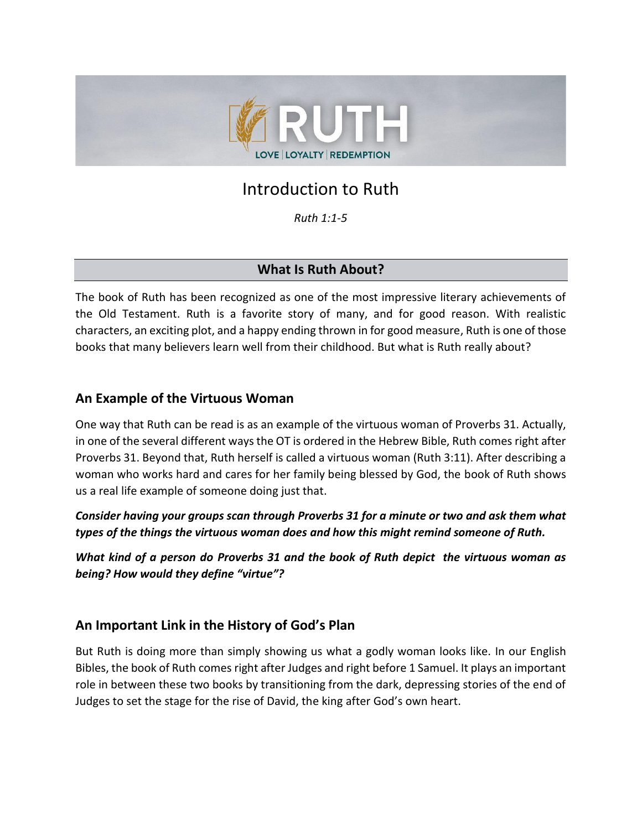

# Introduction to Ruth

*Ruth 1:1-5*

# **What Is Ruth About?**

The book of Ruth has been recognized as one of the most impressive literary achievements of the Old Testament. Ruth is a favorite story of many, and for good reason. With realistic characters, an exciting plot, and a happy ending thrown in for good measure, Ruth is one of those books that many believers learn well from their childhood. But what is Ruth really about?

# **An Example of the Virtuous Woman**

One way that Ruth can be read is as an example of the virtuous woman of Proverbs 31. Actually, in one of the several different ways the OT is ordered in the Hebrew Bible, Ruth comes right after Proverbs 31. Beyond that, Ruth herself is called a virtuous woman (Ruth 3:11). After describing a woman who works hard and cares for her family being blessed by God, the book of Ruth shows us a real life example of someone doing just that.

*Consider having your groups scan through Proverbs 31 for a minute or two and ask them what types of the things the virtuous woman does and how this might remind someone of Ruth.*

*What kind of a person do Proverbs 31 and the book of Ruth depict the virtuous woman as being? How would they define "virtue"?*

# **An Important Link in the History of God's Plan**

But Ruth is doing more than simply showing us what a godly woman looks like. In our English Bibles, the book of Ruth comes right after Judges and right before 1 Samuel. It plays an important role in between these two books by transitioning from the dark, depressing stories of the end of Judges to set the stage for the rise of David, the king after God's own heart.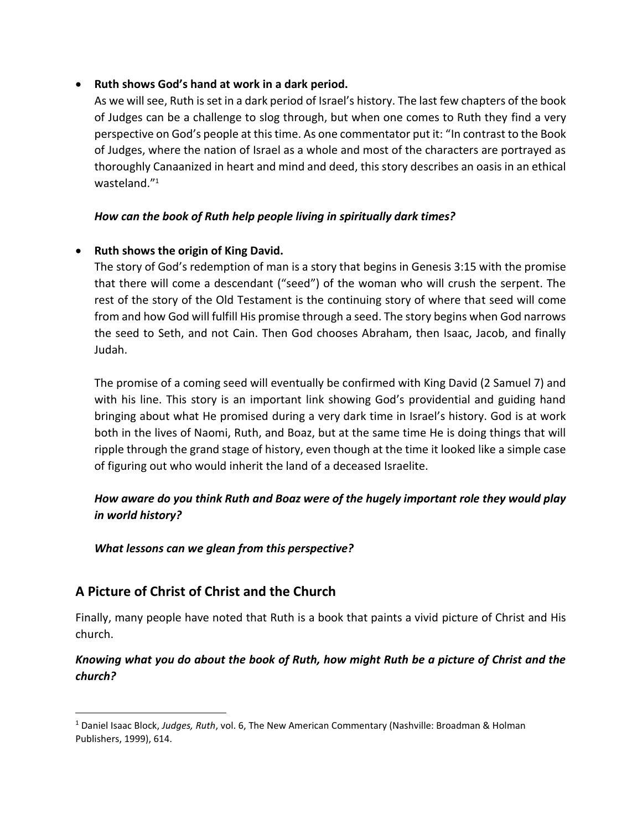### • **Ruth shows God's hand at work in a dark period.**

As we will see, Ruth is set in a dark period of Israel's history. The last few chapters of the book of Judges can be a challenge to slog through, but when one comes to Ruth they find a very perspective on God's people at this time. As one commentator put it: "In contrast to the Book of Judges, where the nation of Israel as a whole and most of the characters are portrayed as thoroughly Canaanized in heart and mind and deed, this story describes an oasis in an ethical wasteland."<sup>1</sup>

### *How can the book of Ruth help people living in spiritually dark times?*

### • **Ruth shows the origin of King David.**

The story of God's redemption of man is a story that begins in Genesis 3:15 with the promise that there will come a descendant ("seed") of the woman who will crush the serpent. The rest of the story of the Old Testament is the continuing story of where that seed will come from and how God will fulfill His promise through a seed. The story begins when God narrows the seed to Seth, and not Cain. Then God chooses Abraham, then Isaac, Jacob, and finally Judah.

The promise of a coming seed will eventually be confirmed with King David (2 Samuel 7) and with his line. This story is an important link showing God's providential and guiding hand bringing about what He promised during a very dark time in Israel's history. God is at work both in the lives of Naomi, Ruth, and Boaz, but at the same time He is doing things that will ripple through the grand stage of history, even though at the time it looked like a simple case of figuring out who would inherit the land of a deceased Israelite.

## *How aware do you think Ruth and Boaz were of the hugely important role they would play in world history?*

### *What lessons can we glean from this perspective?*

# **A Picture of Christ of Christ and the Church**

Finally, many people have noted that Ruth is a book that paints a vivid picture of Christ and His church.

### *Knowing what you do about the book of Ruth, how might Ruth be a picture of Christ and the church?*

<sup>1</sup> Daniel Isaac Block, *[Judges, Ruth](https://ref.ly/logosres/nac06?ref=Bible.Ru&off=67971)*, vol. 6, The New American Commentary (Nashville: Broadman & Holman Publishers, 1999), 614.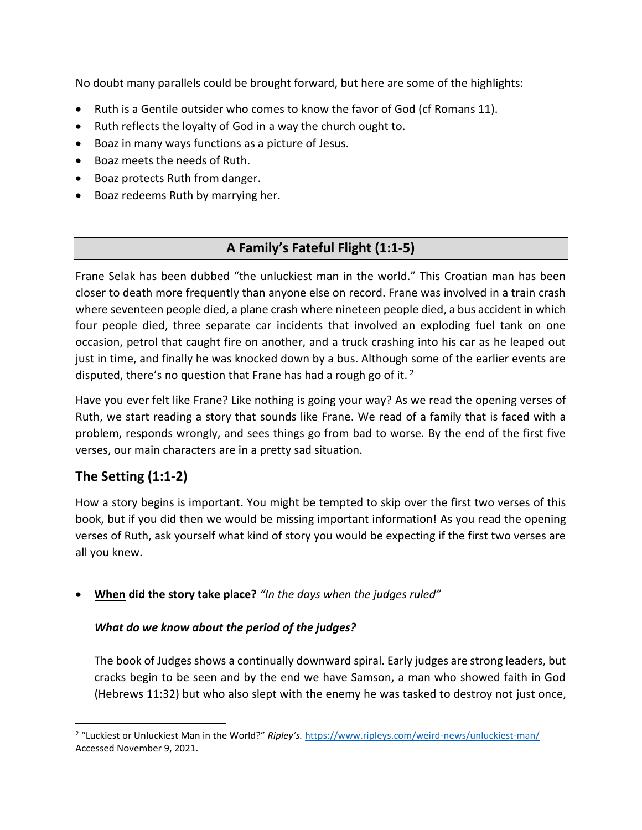No doubt many parallels could be brought forward, but here are some of the highlights:

- Ruth is a Gentile outsider who comes to know the favor of God (cf Romans 11).
- Ruth reflects the loyalty of God in a way the church ought to.
- Boaz in many ways functions as a picture of Jesus.
- Boaz meets the needs of Ruth.
- Boaz protects Ruth from danger.
- Boaz redeems Ruth by marrying her.

# **A Family's Fateful Flight (1:1-5)**

Frane Selak has been dubbed "the unluckiest man in the world." This Croatian man has been closer to death more frequently than anyone else on record. Frane was involved in a train crash where seventeen people died, a plane crash where nineteen people died, a bus accident in which four people died, three separate car incidents that involved an exploding fuel tank on one occasion, petrol that caught fire on another, and a truck crashing into his car as he leaped out just in time, and finally he was knocked down by a bus. Although some of the earlier events are disputed, there's no question that Frane has had a rough go of it.  $2^{\circ}$ 

Have you ever felt like Frane? Like nothing is going your way? As we read the opening verses of Ruth, we start reading a story that sounds like Frane. We read of a family that is faced with a problem, responds wrongly, and sees things go from bad to worse. By the end of the first five verses, our main characters are in a pretty sad situation.

# **The Setting (1:1-2)**

How a story begins is important. You might be tempted to skip over the first two verses of this book, but if you did then we would be missing important information! As you read the opening verses of Ruth, ask yourself what kind of story you would be expecting if the first two verses are all you knew.

• **When did the story take place?** *"In the days when the judges ruled"*

### *What do we know about the period of the judges?*

The book of Judges shows a continually downward spiral. Early judges are strong leaders, but cracks begin to be seen and by the end we have Samson, a man who showed faith in God (Hebrews 11:32) but who also slept with the enemy he was tasked to destroy not just once,

<sup>2</sup> "Luckiest or Unluckiest Man in the World?" *Ripley's.* <https://www.ripleys.com/weird-news/unluckiest-man/> Accessed November 9, 2021.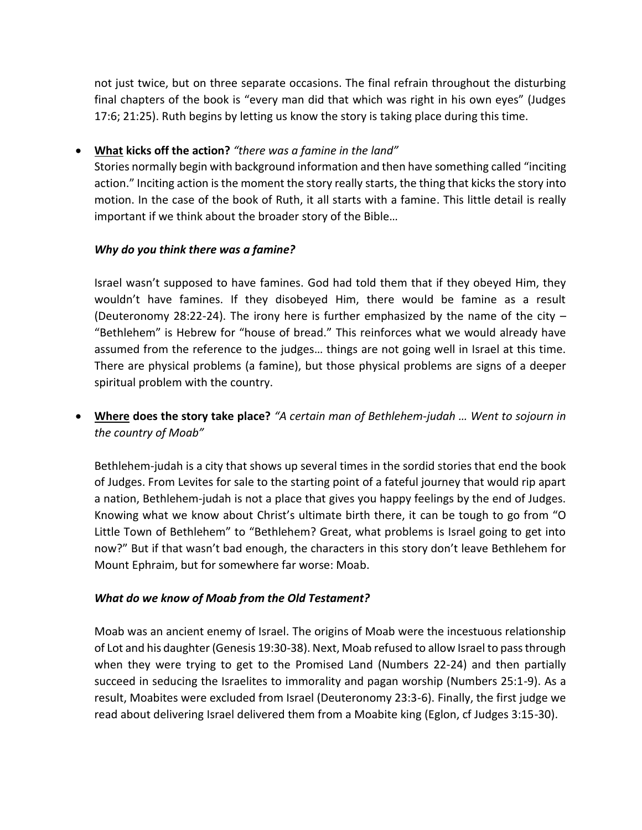not just twice, but on three separate occasions. The final refrain throughout the disturbing final chapters of the book is "every man did that which was right in his own eyes" (Judges 17:6; 21:25). Ruth begins by letting us know the story is taking place during this time.

### • **What kicks off the action?** *"there was a famine in the land"*

Stories normally begin with background information and then have something called "inciting action." Inciting action is the moment the story really starts, the thing that kicks the story into motion. In the case of the book of Ruth, it all starts with a famine. This little detail is really important if we think about the broader story of the Bible…

### *Why do you think there was a famine?*

Israel wasn't supposed to have famines. God had told them that if they obeyed Him, they wouldn't have famines. If they disobeyed Him, there would be famine as a result (Deuteronomy 28:22-24). The irony here is further emphasized by the name of the city  $-$ "Bethlehem" is Hebrew for "house of bread." This reinforces what we would already have assumed from the reference to the judges… things are not going well in Israel at this time. There are physical problems (a famine), but those physical problems are signs of a deeper spiritual problem with the country.

• **Where does the story take place?** *"A certain man of Bethlehem-judah … Went to sojourn in the country of Moab"*

Bethlehem-judah is a city that shows up several times in the sordid stories that end the book of Judges. From Levites for sale to the starting point of a fateful journey that would rip apart a nation, Bethlehem-judah is not a place that gives you happy feelings by the end of Judges. Knowing what we know about Christ's ultimate birth there, it can be tough to go from "O Little Town of Bethlehem" to "Bethlehem? Great, what problems is Israel going to get into now?" But if that wasn't bad enough, the characters in this story don't leave Bethlehem for Mount Ephraim, but for somewhere far worse: Moab.

### *What do we know of Moab from the Old Testament?*

Moab was an ancient enemy of Israel. The origins of Moab were the incestuous relationship of Lot and his daughter (Genesis 19:30-38). Next, Moab refused to allow Israel to pass through when they were trying to get to the Promised Land (Numbers 22-24) and then partially succeed in seducing the Israelites to immorality and pagan worship (Numbers 25:1-9). As a result, Moabites were excluded from Israel (Deuteronomy 23:3-6). Finally, the first judge we read about delivering Israel delivered them from a Moabite king (Eglon, cf Judges 3:15-30).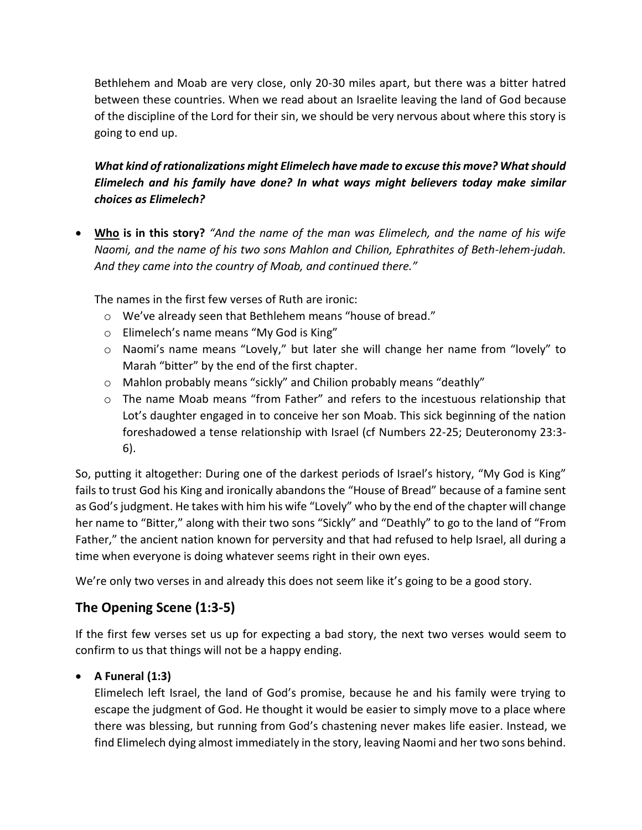Bethlehem and Moab are very close, only 20-30 miles apart, but there was a bitter hatred between these countries. When we read about an Israelite leaving the land of God because of the discipline of the Lord for their sin, we should be very nervous about where this story is going to end up.

*What kind of rationalizations might Elimelech have made to excuse this move? What should Elimelech and his family have done? In what ways might believers today make similar choices as Elimelech?*

• **Who is in this story?** *"And the name of the man was Elimelech, and the name of his wife Naomi, and the name of his two sons Mahlon and Chilion, Ephrathites of Beth-lehem-judah. And they came into the country of Moab, and continued there."*

The names in the first few verses of Ruth are ironic:

- o We've already seen that Bethlehem means "house of bread."
- o Elimelech's name means "My God is King"
- o Naomi's name means "Lovely," but later she will change her name from "lovely" to Marah "bitter" by the end of the first chapter.
- o Mahlon probably means "sickly" and Chilion probably means "deathly"
- $\circ$  The name Moab means "from Father" and refers to the incestuous relationship that Lot's daughter engaged in to conceive her son Moab. This sick beginning of the nation foreshadowed a tense relationship with Israel (cf Numbers 22-25; Deuteronomy 23:3- 6).

So, putting it altogether: During one of the darkest periods of Israel's history, "My God is King" fails to trust God his King and ironically abandons the "House of Bread" because of a famine sent as God's judgment. He takes with him his wife "Lovely" who by the end of the chapter will change her name to "Bitter," along with their two sons "Sickly" and "Deathly" to go to the land of "From Father," the ancient nation known for perversity and that had refused to help Israel, all during a time when everyone is doing whatever seems right in their own eyes.

We're only two verses in and already this does not seem like it's going to be a good story.

# **The Opening Scene (1:3-5)**

If the first few verses set us up for expecting a bad story, the next two verses would seem to confirm to us that things will not be a happy ending.

### • **A Funeral (1:3)**

Elimelech left Israel, the land of God's promise, because he and his family were trying to escape the judgment of God. He thought it would be easier to simply move to a place where there was blessing, but running from God's chastening never makes life easier. Instead, we find Elimelech dying almost immediately in the story, leaving Naomi and her two sons behind.